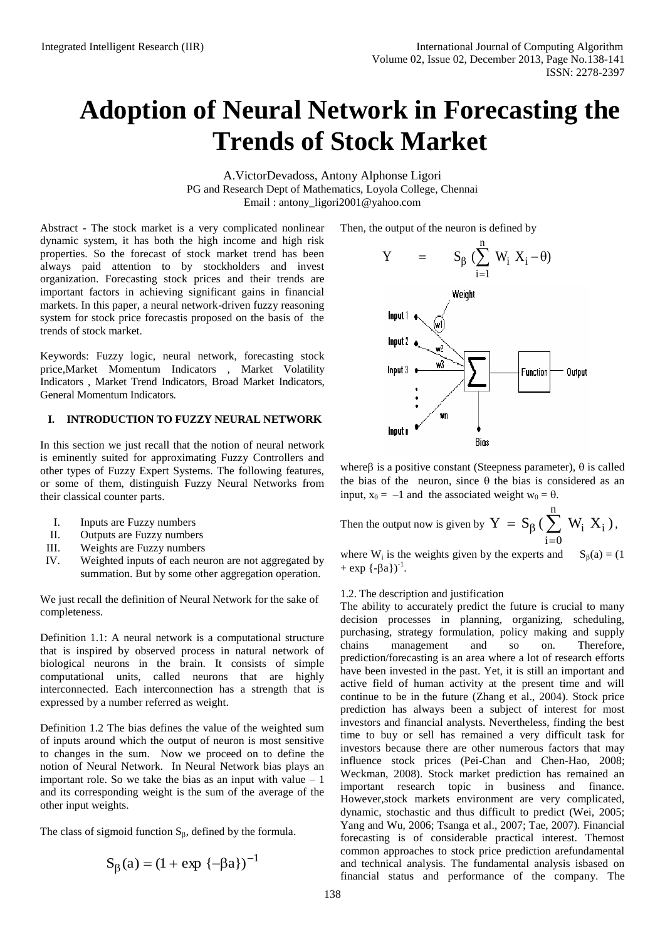# **Adoption of Neural Network in Forecasting the Trends of Stock Market**

A.VictorDevadoss, Antony Alphonse Ligori PG and Research Dept of Mathematics, Loyola College, Chennai Email: antony\_ligori2001@yahoo.com

Abstract - The stock market is a very complicated nonlinear dynamic system, it has both the high income and high risk properties. So the forecast of stock market trend has been always paid attention to by stockholders and invest organization. Forecasting stock prices and their trends are important factors in achieving significant gains in financial markets. In this paper, a neural network-driven fuzzy reasoning system for stock price forecastis proposed on the basis of the trends of stock market.

Keywords: Fuzzy logic, neural network, forecasting stock price,Market Momentum Indicators , Market Volatility Indicators , Market Trend Indicators, Broad Market Indicators, General Momentum Indicators.

## **I. INTRODUCTION TO FUZZY NEURAL NETWORK**

In this section we just recall that the notion of neural network is eminently suited for approximating Fuzzy Controllers and other types of Fuzzy Expert Systems. The following features, or some of them, distinguish Fuzzy Neural Networks from their classical counter parts.

- I. Inputs are Fuzzy numbers
- II. Outputs are Fuzzy numbers
- III. Weights are Fuzzy numbers
- IV. Weighted inputs of each neuron are not aggregated by summation. But by some other aggregation operation.

We just recall the definition of Neural Network for the sake of completeness.

Definition 1.1: A neural network is a computational structure that is inspired by observed process in natural network of biological neurons in the brain. It consists of simple computational units, called neurons that are highly interconnected. Each interconnection has a strength that is expressed by a number referred as weight.

Definition 1.2 The bias defines the value of the weighted sum of inputs around which the output of neuron is most sensitive to changes in the sum. Now we proceed on to define the notion of Neural Network. In Neural Network bias plays an important role. So we take the bias as an input with value  $-1$ and its corresponding weight is the sum of the average of the other input weights.

The class of sigmoid function  $S_\beta$ , defined by the formula.

$$
S_{\beta}(a) = (1 + \exp \{-\beta a\})^{-1}
$$

Then, the output of the neuron is defined by



where  $\beta$  is a positive constant (Steepness parameter),  $\theta$  is called the bias of the neuron, since  $\theta$  the bias is considered as an input,  $x_0 = -1$  and the associated weight  $w_0 = \theta$ .

Then the output now is given by 
$$
Y = S_{\beta} (\sum_{i=0}^{n} W_i X_i)
$$
,

where  $W_i$  is the weights given by the experts and  $S_\beta(a) = (1$  $+ \exp \{-\beta a\}$ <sup>-1</sup>.

## 1.2. The description and justification

The ability to accurately predict the future is crucial to many decision processes in planning, organizing, scheduling, purchasing, strategy formulation, policy making and supply chains management and so on. Therefore, prediction/forecasting is an area where a lot of research efforts have been invested in the past. Yet, it is still an important and active field of human activity at the present time and will continue to be in the future (Zhang et al., 2004). Stock price prediction has always been a subject of interest for most investors and financial analysts. Nevertheless, finding the best time to buy or sell has remained a very difficult task for investors because there are other numerous factors that may influence stock prices (Pei-Chan and Chen-Hao, 2008; Weckman, 2008). Stock market prediction has remained an important research topic in business and finance. However,stock markets environment are very complicated, dynamic, stochastic and thus difficult to predict (Wei, 2005; Yang and Wu, 2006; Tsanga et al., 2007; Tae, 2007). Financial forecasting is of considerable practical interest. Themost common approaches to stock price prediction arefundamental and technical analysis. The fundamental analysis isbased on financial status and performance of the company. The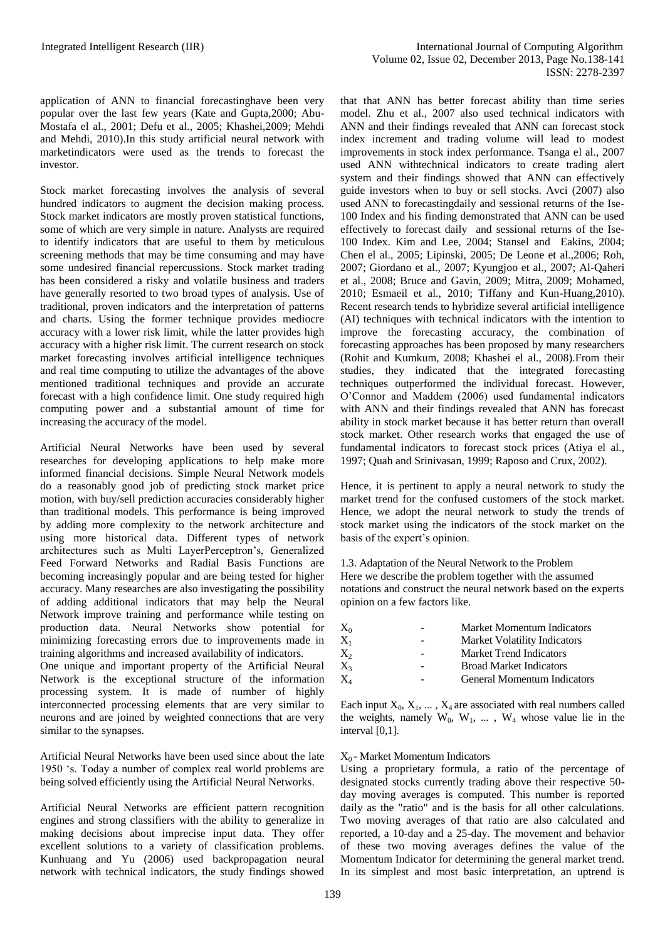application of ANN to financial forecastinghave been very popular over the last few years (Kate and Gupta,2000; Abu-Mostafa el al., 2001; Defu et al., 2005; Khashei,2009; Mehdi and Mehdi, 2010).In this study artificial neural network with marketindicators were used as the trends to forecast the investor.

Stock market forecasting involves the analysis of several hundred indicators to augment the decision making process. Stock market indicators are mostly proven statistical functions, some of which are very simple in nature. Analysts are required to identify indicators that are useful to them by meticulous screening methods that may be time consuming and may have some undesired financial repercussions. Stock market trading has been considered a risky and volatile business and traders have generally resorted to two broad types of analysis. Use of traditional, proven indicators and the interpretation of patterns and charts. Using the former technique provides mediocre accuracy with a lower risk limit, while the latter provides high accuracy with a higher risk limit. The current research on stock market forecasting involves artificial intelligence techniques and real time computing to utilize the advantages of the above mentioned traditional techniques and provide an accurate forecast with a high confidence limit. One study required high computing power and a substantial amount of time for increasing the accuracy of the model.

Artificial Neural Networks have been used by several researches for developing applications to help make more informed financial decisions. Simple Neural Network models do a reasonably good job of predicting stock market price motion, with buy/sell prediction accuracies considerably higher than traditional models. This performance is being improved by adding more complexity to the network architecture and using more historical data. Different types of network architectures such as Multi LayerPerceptron's, Generalized Feed Forward Networks and Radial Basis Functions are becoming increasingly popular and are being tested for higher accuracy. Many researches are also investigating the possibility of adding additional indicators that may help the Neural Network improve training and performance while testing on production data. Neural Networks show potential for minimizing forecasting errors due to improvements made in training algorithms and increased availability of indicators.

One unique and important property of the Artificial Neural Network is the exceptional structure of the information processing system. It is made of number of highly interconnected processing elements that are very similar to neurons and are joined by weighted connections that are very similar to the synapses.

Artificial Neural Networks have been used since about the late 1950 's. Today a number of complex real world problems are being solved efficiently using the Artificial Neural Networks.

Artificial Neural Networks are efficient pattern recognition engines and strong classifiers with the ability to generalize in making decisions about imprecise input data. They offer excellent solutions to a variety of classification problems. Kunhuang and Yu (2006) used backpropagation neural network with technical indicators, the study findings showed

that that ANN has better forecast ability than time series model. Zhu et al., 2007 also used technical indicators with ANN and their findings revealed that ANN can forecast stock index increment and trading volume will lead to modest improvements in stock index performance. Tsanga el al., 2007 used ANN withtechnical indicators to create trading alert system and their findings showed that ANN can effectively guide investors when to buy or sell stocks. Avci (2007) also used ANN to forecastingdaily and sessional returns of the Ise-100 Index and his finding demonstrated that ANN can be used effectively to forecast daily and sessional returns of the Ise-100 Index. Kim and Lee, 2004; Stansel and Eakins, 2004; Chen el al., 2005; Lipinski, 2005; De Leone et al.,2006; Roh, 2007; Giordano et al., 2007; Kyungjoo et al., 2007; Al-Qaheri et al., 2008; Bruce and Gavin, 2009; Mitra, 2009; Mohamed, 2010; Esmaeil et al., 2010; Tiffany and Kun-Huang,2010). Recent research tends to hybridize several artificial intelligence (AI) techniques with technical indicators with the intention to improve the forecasting accuracy, the combination of forecasting approaches has been proposed by many researchers (Rohit and Kumkum, 2008; Khashei el al., 2008).From their studies, they indicated that the integrated forecasting techniques outperformed the individual forecast. However, O'Connor and Maddem (2006) used fundamental indicators with ANN and their findings revealed that ANN has forecast ability in stock market because it has better return than overall stock market. Other research works that engaged the use of fundamental indicators to forecast stock prices (Atiya el al., 1997; Quah and Srinivasan, 1999; Raposo and Crux, 2002).

Hence, it is pertinent to apply a neural network to study the market trend for the confused customers of the stock market. Hence, we adopt the neural network to study the trends of stock market using the indicators of the stock market on the basis of the expert's opinion.

1.3. Adaptation of the Neural Network to the Problem Here we describe the problem together with the assumed notations and construct the neural network based on the experts opinion on a few factors like.

| $X_0$   |                          | <b>Market Momentum Indicators</b>   |
|---------|--------------------------|-------------------------------------|
| $X_1$   | $\overline{\phantom{0}}$ | <b>Market Volatility Indicators</b> |
| $X_{2}$ | -                        | <b>Market Trend Indicators</b>      |
| $X_3$   |                          | <b>Broad Market Indicators</b>      |
| $X_4$   |                          | <b>General Momentum Indicators</b>  |

Each input  $X_0, X_1, \ldots, X_4$  are associated with real numbers called the weights, namely  $W_0$ ,  $W_1$ , ...,  $W_4$  whose value lie in the interval [0,1].

## $X_0$  - Market Momentum Indicators

Using a proprietary formula, a ratio of the percentage of designated stocks currently trading above their respective 50 day moving averages is computed. This number is reported daily as the "ratio" and is the basis for all other calculations. Two moving averages of that ratio are also calculated and reported, a 10-day and a 25-day. The movement and behavior of these two moving averages defines the value of the Momentum Indicator for determining the general market trend. In its simplest and most basic interpretation, an uptrend is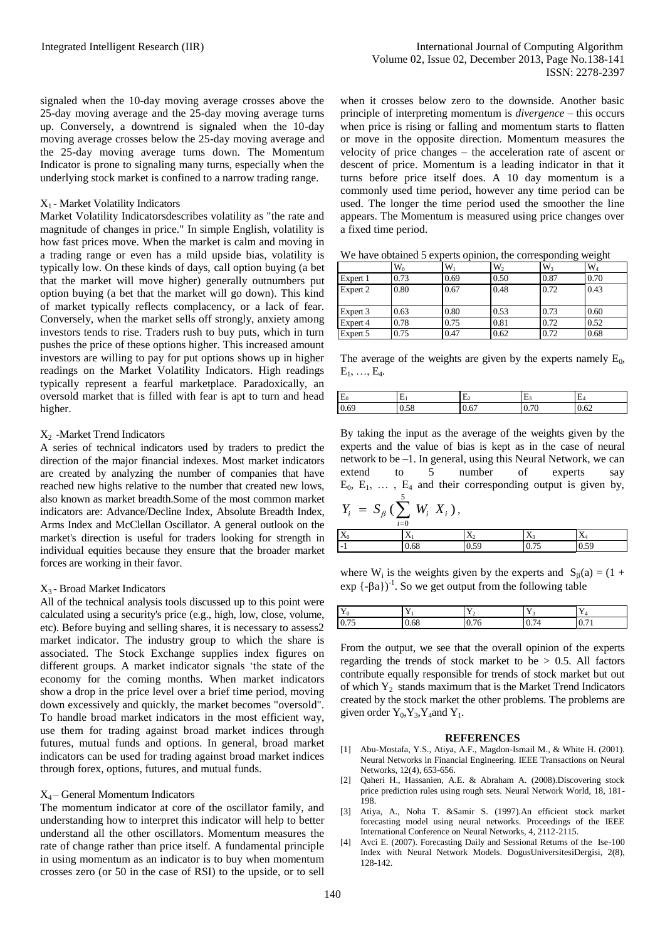signaled when the 10-day moving average crosses above the 25-day moving average and the 25-day moving average turns up. Conversely, a downtrend is signaled when the 10-day moving average crosses below the 25-day moving average and the 25-day moving average turns down. The Momentum Indicator is prone to signaling many turns, especially when the underlying stock market is confined to a narrow trading range.

#### $X_1$  - Market Volatility Indicators

Market Volatility Indicatorsdescribes volatility as "the rate and magnitude of changes in price." In simple English, volatility is how fast prices move. When the market is calm and moving in a trading range or even has a mild upside bias, volatility is typically low. On these kinds of days, call option buying (a bet that the market will move higher) generally outnumbers put option buying (a bet that the market will go down). This kind of market typically reflects complacency, or a lack of fear. Conversely, when the market sells off strongly, anxiety among investors tends to rise. Traders rush to buy puts, which in turn pushes the price of these options higher. This increased amount investors are willing to pay for put options shows up in higher readings on the Market Volatility Indicators. High readings typically represent a fearful marketplace. Paradoxically, an oversold market that is filled with fear is apt to turn and head higher.

### $X<sub>2</sub>$  -Market Trend Indicators

A series of technical indicators used by traders to predict the direction of the major financial indexes. Most market indicators are created by analyzing the number of companies that have reached new highs relative to the number that created new lows, also known as market breadth.Some of the most common market indicators are: Advance/Decline Index, Absolute Breadth Index, Arms Index and McClellan Oscillator. A general outlook on the market's direction is useful for traders looking for strength in individual equities because they ensure that the broader market forces are working in their favor.

## X<sup>3</sup> - Broad Market Indicators

All of the technical analysis tools discussed up to this point were calculated using a security's price (e.g., high, low, close, volume, etc). Before buying and selling shares, it is necessary to assess2 market indicator. The industry group to which the share is associated. The Stock Exchange supplies index figures on different groups. A market indicator signals 'the state of the economy for the coming months. When market indicators show a drop in the price level over a brief time period, moving down excessively and quickly, the market becomes "oversold". To handle broad market indicators in the most efficient way, use them for trading against broad market indices through futures, mutual funds and options. In general, broad market indicators can be used for trading against broad market indices through forex, options, futures, and mutual funds.

## X4 – General Momentum Indicators

The momentum indicator at core of the oscillator family, and understanding how to interpret this indicator will help to better understand all the other oscillators. Momentum measures the rate of change rather than price itself. A fundamental principle in using momentum as an indicator is to buy when momentum crosses zero (or 50 in the case of RSI) to the upside, or to sell

when it crosses below zero to the downside. Another basic principle of interpreting momentum is *divergence* – this occurs when price is rising or falling and momentum starts to flatten or move in the opposite direction. Momentum measures the velocity of price changes – the acceleration rate of ascent or descent of price. Momentum is a leading indicator in that it turns before price itself does. A 10 day momentum is a commonly used time period, however any time period can be used. The longer the time period used the smoother the line appears. The Momentum is measured using price changes over a fixed time period.

|  |  |  | We have obtained 5 experts opinion, the corresponding weight |  |
|--|--|--|--------------------------------------------------------------|--|
|  |  |  |                                                              |  |

|          | $W_0$ | W    | W <sub>2</sub> | W <sub>3</sub> | $W_4$ |
|----------|-------|------|----------------|----------------|-------|
| Expert 1 | 0.73  | 0.69 | 0.50           | 0.87           | 0.70  |
| Expert 2 | 0.80  | 0.67 | 0.48           | 0.72           | 0.43  |
|          |       |      |                |                |       |
| Expert 3 | 0.63  | 0.80 | 0.53           | 0.73           | 0.60  |
| Expert 4 | 0.78  | 0.75 | 0.81           | 0.72           | 0.52  |
| Expert 5 | 0.75  | 0.47 | 0.62           | 0.72           | 0.68  |

The average of the weights are given by the experts namely  $E_0$ ,  $E_1, \ldots, E_4$ .

| E    | E.             | ⊷    | . .  | <b>LA</b> |
|------|----------------|------|------|-----------|
| 0.69 | $\sim$<br>U.JO | U.O. | U.7U | 0.04      |

By taking the input as the average of the weights given by the experts and the value of bias is kept as in the case of neural network to be –1. In general, using this Neural Network, we can extend to 5 number of experts say  $E_0$ ,  $E_1$ ,  $\ldots$ ,  $E_4$  and their corresponding output is given by, 5

$$
Y_i = S_\beta \left( \sum_{i=0}^5 W_i X_i \right),
$$

|                    | $\iota-\nu$ |                |           |   |  |
|--------------------|-------------|----------------|-----------|---|--|
| $\mathbf{v}$<br>LΔ | - -<br>77   | $\Lambda$      | $\lambda$ | - |  |
|                    | $-0.0c$     | $\mathsf{v}$ . | v.        | ິ |  |

where  $W_i$  is the weights given by the experts and  $S_\beta(a) = (1 +$  $exp(-\beta a)^{-1}$ . So we get output from the following table

| $\mathbf{v}$<br>$\mathbf{\mathbf{\mathbf{I}}}$ |      | - -          | $\mathbf{v}$ |                |
|------------------------------------------------|------|--------------|--------------|----------------|
| 0.75                                           | v.vo | $ -$<br>0.70 | $v \cdot r$  | $\mathbf{U}$ . |

From the output, we see that the overall opinion of the experts regarding the trends of stock market to be  $> 0.5$ . All factors contribute equally responsible for trends of stock market but out of which  $Y_2$  stands maximum that is the Market Trend Indicators created by the stock market the other problems. The problems are given order  $Y_0, Y_3, Y_4$  and  $Y_1$ .

#### **REFERENCES**

- [1] Abu-Mostafa, Y.S., Atiya, A.F., Magdon-Ismail M., & White H. (2001). Neural Networks in Financial Engineering. IEEE Transactions on Neural Networks, 12(4), 653-656.
- [2] Qaheri H., Hassanien, A.E. & Abraham A. (2008).Discovering stock price prediction rules using rough sets. Neural Network World, 18, 181- 198.
- [3] Atiya, A., Noha T. &Samir S. (1997).An efficient stock market forecasting model using neural networks. Proceedings of the IEEE International Conference on Neural Networks, 4, 2112-2115.
- [4] Avci E. (2007). Forecasting Daily and Sessional Returns of the Ise-100 Index with Neural Network Models. DogusUniversitesiDergisi, 2(8), 128-142.